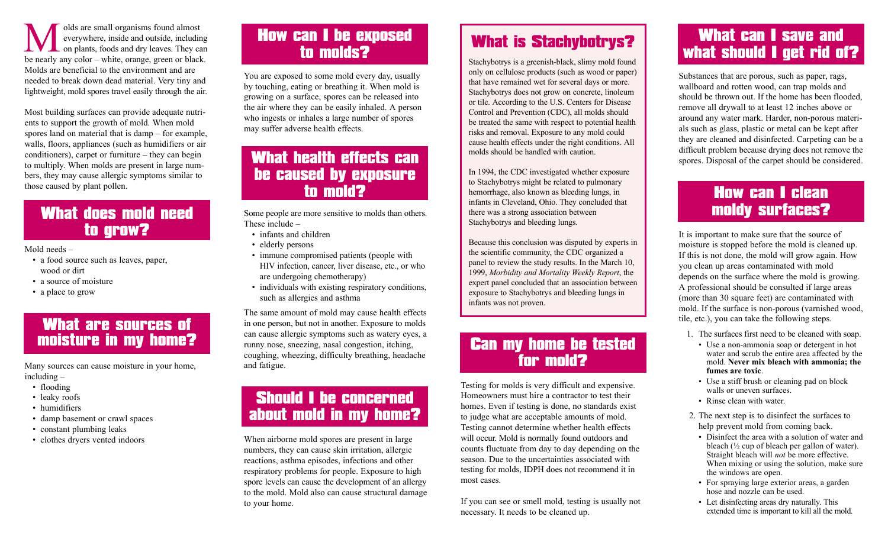olds are small organisms found almost everywhere, inside and outside, including on plants, foods and dry leaves. They can be nearly any color – white, orange, green or black. Molds are beneficial to the environment and are needed to break down dead material. Very tiny and lightweight, mold spores travel easily through the air.

Most building surfaces can provide adequate nutrients to support the growth of mold. When mold spores land on material that is damp – for example, walls, floors, appliances (such as humidifiers or air conditioners), carpet or furniture – they can begin to multiply. When molds are present in large numbers, they may cause allergic symptoms similar to those caused by plant pollen.

#### What does mold need to grow?

Mold needs –

- a food source such as leaves, paper, wood or dirt
- a source of moisture
- a place to grow

#### What are sources of moisture in my home?

Many sources can cause moisture in your home, including –

- flooding
- leaky roofs
- humidifiers
- damp basement or crawl spaces
- constant plumbing leaks
- clothes dryers vented indoors

## **How can I be exposed<br>to molds?**

You are exposed to some mold every day, usually by touching, eating or breathing it. When mold is growing on a surface, spores can be released into the air where they can be easily inhaled. A person who ingests or inhales a large number of spores may suffer adverse health effects.

#### What health effects can be caused by exposure to mold?

Some people are more sensitive to molds than others. These include –

- infants and children
- elderly persons
- immune compromised patients (people with HIV infection, cancer, liver disease, etc., or who are undergoing chemotherapy)
- individuals with existing respiratory conditions, such as allergies and asthma

The same amount of mold may cause health effects in one person, but not in another. Exposure to molds can cause allergic symptoms such as watery eyes, a runny nose, sneezing, nasal congestion, itching, coughing, wheezing, difficulty breathing, headache and fatigue.

#### Should I be concerned about mold in my home?

When airborne mold spores are present in large numbers, they can cause skin irritation, allergic reactions, asthma episodes, infections and other respiratory problems for people. Exposure to high spore levels can cause the development of an allergy to the mold. Mold also can cause structural damage to your home.

### What is Stachybotrys?

Stachybotrys is a greenish-black, slimy mold found only on cellulose products (such as wood or paper) that have remained wet for several days or more. Stachybotrys does not grow on concrete, linoleum or tile. According to the U.S. Centers for Disease Control and Prevention (CDC), all molds should be treated the same with respect to potential health risks and removal. Exposure to any mold could cause health effects under the right conditions. All molds should be handled with caution.

In 1994, the CDC investigated whether exposure to Stachybotrys might be related to pulmonary hemorrhage, also known as bleeding lungs, in infants in Cleveland, Ohio. They concluded that there was a strong association between Stachybotrys and bleeding lungs.

Because this conclusion was disputed by experts in the scientific community, the CDC organized a panel to review the study results. In the March 10, 1999, *Morbidity and Mortality Weekly Report*, the expert panel concluded that an association between exposure to Stachybotrys and bleeding lungs in infants was not proven.

#### Can my home be tested for mold?

Testing for molds is very difficult and expensive. Homeowners must hire a contractor to test their homes. Even if testing is done, no standards exist to judge what are acceptable amounts of mold. Testing cannot determine whether health effects will occur. Mold is normally found outdoors and counts fluctuate from day to day depending on the season. Due to the uncertainties associated with testing for molds, IDPH does not recommend it in most cases.

If you can see or smell mold, testing is usually not necessary. It needs to be cleaned up.

#### What can I save and what should I get rid of?

Substances that are porous, such as paper, rags, wallboard and rotten wood, can trap molds and should be thrown out. If the home has been flooded, remove all drywall to at least 12 inches above or around any water mark. Harder, non-porous materials such as glass, plastic or metal can be kept after they are cleaned and disinfected. Carpeting can be a difficult problem because drying does not remove the spores. Disposal of the carpet should be considered.

#### How can I clean moldy surfaces?

It is important to make sure that the source of moisture is stopped before the mold is cleaned up. If this is not done, the mold will grow again. How you clean up areas contaminated with mold depends on the surface where the mold is growing. A professional should be consulted if large areas (more than 30 square feet) are contaminated with mold. If the surface is non-porous (varnished wood, tile, etc.), you can take the following steps.

- 1. The surfaces first need to be cleaned with soap.
- Use a non-ammonia soap or detergent in hot water and scrub the entire area affected by the mold. **Never mix bleach with ammonia; the fumes are toxic**.
- Use a stiff brush or cleaning pad on block walls or uneven surfaces.
- Rinse clean with water.
- 2. The next step is to disinfect the surfaces to help prevent mold from coming back.
	- Disinfect the area with a solution of water and bleach (½ cup of bleach per gallon of water). Straight bleach will *not* be more effective. When mixing or using the solution, make sure the windows are open.
	- For spraying large exterior areas, a garden hose and nozzle can be used.
	- Let disinfecting areas dry naturally. This extended time is important to kill all the mold.